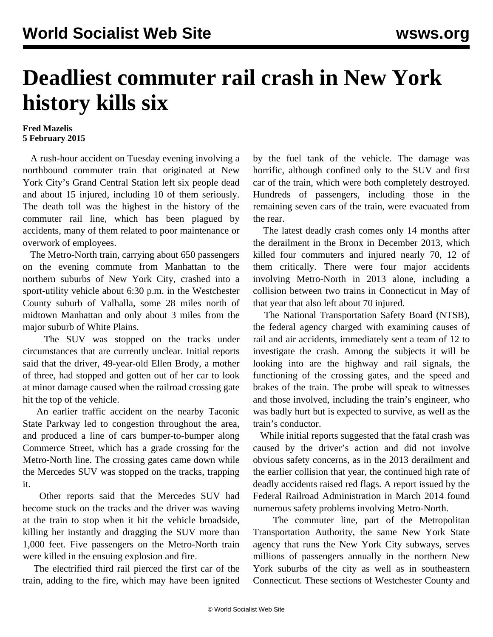## **Deadliest commuter rail crash in New York history kills six**

## **Fred Mazelis 5 February 2015**

 A rush-hour accident on Tuesday evening involving a northbound commuter train that originated at New York City's Grand Central Station left six people dead and about 15 injured, including 10 of them seriously. The death toll was the highest in the history of the commuter rail line, which has been plagued by accidents, many of them related to poor maintenance or overwork of employees.

 The Metro-North train, carrying about 650 passengers on the evening commute from Manhattan to the northern suburbs of New York City, crashed into a sport-utility vehicle about 6:30 p.m. in the Westchester County suburb of Valhalla, some 28 miles north of midtown Manhattan and only about 3 miles from the major suburb of White Plains.

 The SUV was stopped on the tracks under circumstances that are currently unclear. Initial reports said that the driver, 49-year-old Ellen Brody, a mother of three, had stopped and gotten out of her car to look at minor damage caused when the railroad crossing gate hit the top of the vehicle.

 An earlier traffic accident on the nearby Taconic State Parkway led to congestion throughout the area, and produced a line of cars bumper-to-bumper along Commerce Street, which has a grade crossing for the Metro-North line. The crossing gates came down while the Mercedes SUV was stopped on the tracks, trapping it.

 Other reports said that the Mercedes SUV had become stuck on the tracks and the driver was waving at the train to stop when it hit the vehicle broadside, killing her instantly and dragging the SUV more than 1,000 feet. Five passengers on the Metro-North train were killed in the ensuing explosion and fire.

 The electrified third rail pierced the first car of the train, adding to the fire, which may have been ignited by the fuel tank of the vehicle. The damage was horrific, although confined only to the SUV and first car of the train, which were both completely destroyed. Hundreds of passengers, including those in the remaining seven cars of the train, were evacuated from the rear.

 The latest deadly crash comes only 14 months after the derailment in the Bronx in December 2013, which killed four commuters and injured nearly 70, 12 of them critically. There were four major accidents involving Metro-North in 2013 alone, including a collision between two trains in Connecticut in May of that year that also left about 70 injured.

 The National Transportation Safety Board (NTSB), the federal agency charged with examining causes of rail and air accidents, immediately sent a team of 12 to investigate the crash. Among the subjects it will be looking into are the highway and rail signals, the functioning of the crossing gates, and the speed and brakes of the train. The probe will speak to witnesses and those involved, including the train's engineer, who was badly hurt but is expected to survive, as well as the train's conductor.

 While initial reports suggested that the fatal crash was caused by the driver's action and did not involve obvious safety concerns, as in the 2013 derailment and the earlier collision that year, the continued high rate of deadly accidents raised red flags. A report issued by the Federal Railroad Administration in March 2014 found numerous safety problems involving Metro-North.

 The commuter line, part of the Metropolitan Transportation Authority, the same New York State agency that runs the New York City subways, serves millions of passengers annually in the northern New York suburbs of the city as well as in southeastern Connecticut. These sections of Westchester County and